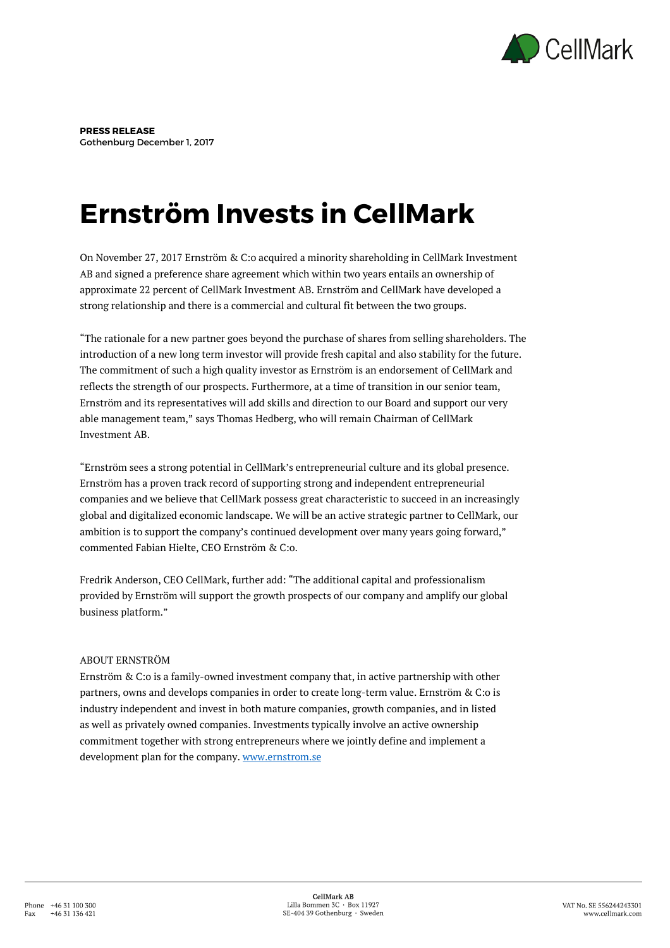

**PRESS RELEASE** Gothenburg December 1, 2017

## **Ernström Invests in CellMark**

On November 27, 2017 Ernström & C:o acquired a minority shareholding in CellMark Investment AB and signed a preference share agreement which within two years entails an ownership of approximate 22 percent of CellMark Investment AB. Ernström and CellMark have developed a strong relationship and there is a commercial and cultural fit between the two groups.

"The rationale for a new partner goes beyond the purchase of shares from selling shareholders. The introduction of a new long term investor will provide fresh capital and also stability for the future. The commitment of such a high quality investor as Ernström is an endorsement of CellMark and reflects the strength of our prospects. Furthermore, at a time of transition in our senior team, Ernström and its representatives will add skills and direction to our Board and support our very able management team," says Thomas Hedberg, who will remain Chairman of CellMark Investment AB.

"Ernström sees a strong potential in CellMark's entrepreneurial culture and its global presence. Ernström has a proven track record of supporting strong and independent entrepreneurial companies and we believe that CellMark possess great characteristic to succeed in an increasingly global and digitalized economic landscape. We will be an active strategic partner to CellMark, our ambition is to support the company's continued development over many years going forward," commented Fabian Hielte, CEO Ernström & C:o.

Fredrik Anderson, CEO CellMark, further add: "The additional capital and professionalism provided by Ernström will support the growth prospects of our company and amplify our global business platform."

## ABOUT ERNSTRÖM

Ernström & C:o is a family-owned investment company that, in active partnership with other partners, owns and develops companies in order to create long-term value. Ernström & C:o is industry independent and invest in both mature companies, growth companies, and in listed as well as privately owned companies. Investments typically involve an active ownership commitment together with strong entrepreneurs where we jointly define and implement a development plan for the company. [www.ernstrom.se](http://www.ernstrom.se/)